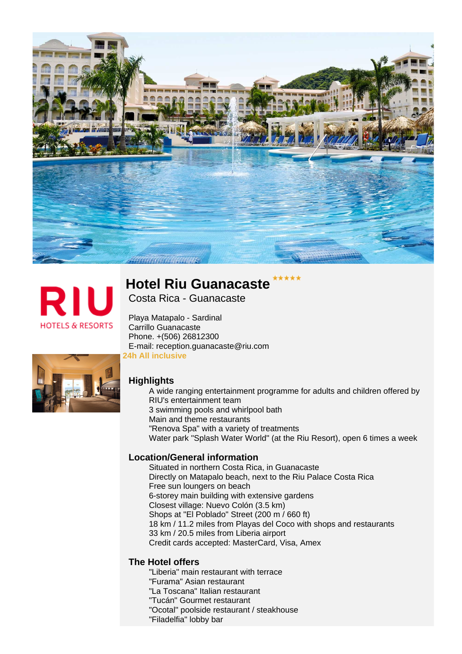



# **Hotel Riu Guanacaste**

Costa Rica - Guanacaste

**24h All inclusive** E-mail: reception.guanacaste@riu.com Phone. +(506) 26812300 Carrillo Guanacaste Playa Matapalo - Sardinal



# **Highlights**

Water park "Splash Water World" (at the Riu Resort), open 6 times a week "Renova Spa" with a variety of treatments Main and theme restaurants 3 swimming pools and whirlpool bath A wide ranging entertainment programme for adults and children offered by RIU's entertainment team

# **Location/General information**

Credit cards accepted: MasterCard, Visa, Amex 33 km / 20.5 miles from Liberia airport 18 km / 11.2 miles from Playas del Coco with shops and restaurants Shops at "El Poblado" Street (200 m / 660 ft) Closest village: Nuevo Colón (3.5 km) 6-storey main building with extensive gardens Free sun loungers on beach Directly on Matapalo beach, next to the Riu Palace Costa Rica Situated in northern Costa Rica, in Guanacaste

# **The Hotel offers**

"Filadelfia" lobby bar "Ocotal" poolside restaurant / steakhouse "Tucán" Gourmet restaurant "La Toscana" Italian restaurant "Furama" Asian restaurant "Liberia" main restaurant with terrace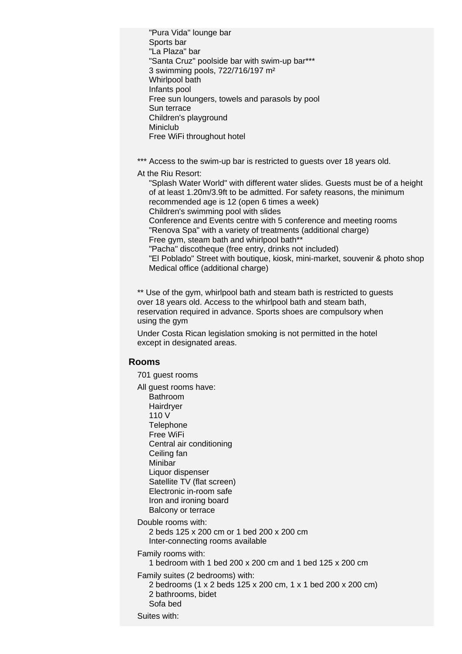Free WiFi throughout hotel Miniclub Children's playground Sun terrace Free sun loungers, towels and parasols by pool Infants pool Whirlpool bath 3 swimming pools, 722/716/197 m² "Santa Cruz" poolside bar with swim-up bar\*\*\* "La Plaza" bar Sports bar "Pura Vida" lounge bar

\*\*\* Access to the swim-up bar is restricted to quests over 18 years old.

At the Riu Resort:

Medical office (additional charge) "El Poblado" Street with boutique, kiosk, mini-market, souvenir & photo shop "Pacha" discotheque (free entry, drinks not included) Free gym, steam bath and whirlpool bath\*\* "Renova Spa" with a variety of treatments (additional charge) Conference and Events centre with 5 conference and meeting rooms Children's swimming pool with slides "Splash Water World" with different water slides. Guests must be of a height of at least 1.20m/3.9ft to be admitted. For safety reasons, the minimum recommended age is 12 (open 6 times a week)

\*\* Use of the gym, whirlpool bath and steam bath is restricted to guests over 18 years old. Access to the whirlpool bath and steam bath, reservation required in advance. Sports shoes are compulsory when using the gym

Under Costa Rican legislation smoking is not permitted in the hotel except in designated areas.

## **Rooms**

701 guest rooms

Balcony or terrace Iron and ironing board Electronic in-room safe Satellite TV (flat screen) Liquor dispenser Minibar Ceiling fan Central air conditioning Free WiFi **Telephone** 110 V **Hairdrver** Bathroom All guest rooms have:

Double rooms with:

Inter-connecting rooms available 2 beds 125 x 200 cm or 1 bed 200 x 200 cm

Family rooms with:

1 bedroom with 1 bed 200 x 200 cm and 1 bed 125 x 200 cm

Family suites (2 bedrooms) with:

Sofa bed 2 bathrooms, bidet 2 bedrooms (1 x 2 beds 125 x 200 cm, 1 x 1 bed 200 x 200 cm)

Suites with: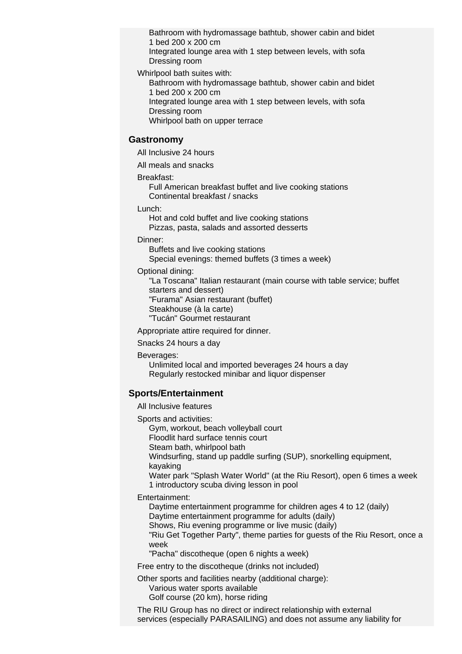Dressing room Integrated lounge area with 1 step between levels, with sofa 1 bed 200 x 200 cm Bathroom with hydromassage bathtub, shower cabin and bidet

Whirlpool bath suites with:

1 bed 200 x 200 cm Bathroom with hydromassage bathtub, shower cabin and bidet

Dressing room Integrated lounge area with 1 step between levels, with sofa

Whirlpool bath on upper terrace

### **Gastronomy**

All Inclusive 24 hours

All meals and snacks

#### Breakfast:

Continental breakfast / snacks Full American breakfast buffet and live cooking stations

Lunch:

Pizzas, pasta, salads and assorted desserts Hot and cold buffet and live cooking stations

#### Dinner:

Special evenings: themed buffets (3 times a week) Buffets and live cooking stations

#### Optional dining:

"Tucán" Gourmet restaurant Steakhouse (à la carte) "Furama" Asian restaurant (buffet) "La Toscana" Italian restaurant (main course with table service; buffet starters and dessert)

Appropriate attire required for dinner.

Snacks 24 hours a day

Beverages:

Regularly restocked minibar and liquor dispenser Unlimited local and imported beverages 24 hours a day

## **Sports/Entertainment**

#### All Inclusive features

Sports and activities:

Gym, workout, beach volleyball court

Floodlit hard surface tennis court

Steam bath, whirlpool bath

Windsurfing, stand up paddle surfing (SUP), snorkelling equipment,

kayaking

1 introductory scuba diving lesson in pool Water park "Splash Water World" (at the Riu Resort), open 6 times a week

Entertainment:

Daytime entertainment programme for adults (daily) Daytime entertainment programme for children ages 4 to 12 (daily)

Shows, Riu evening programme or live music (daily)

"Riu Get Together Party", theme parties for guests of the Riu Resort, once a week

"Pacha" discotheque (open 6 nights a week)

Free entry to the discotheque (drinks not included)

Other sports and facilities nearby (additional charge):

Golf course (20 km), horse riding Various water sports available

The RIU Group has no direct or indirect relationship with external services (especially PARASAILING) and does not assume any liability for